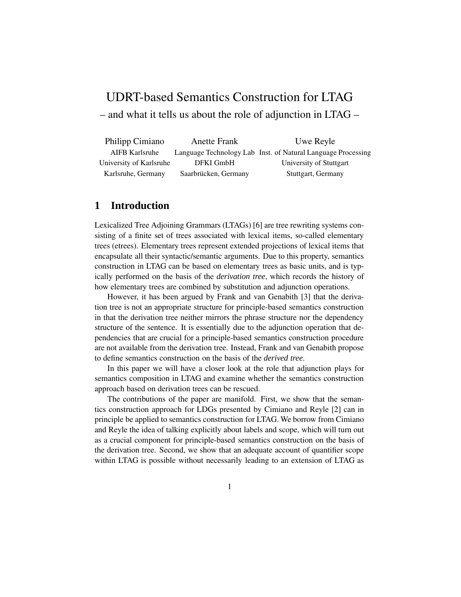# UDRT-based Semantics Construction for LTAG

– and what it tells us about the role of adjunction in LTAG –

| Philipp Cimiano         | <b>Anette Frank</b>  | Uwe Reyle                                                    |
|-------------------------|----------------------|--------------------------------------------------------------|
| AIFB Karlsruhe          |                      | Language Technology Lab Inst. of Natural Language Processing |
| University of Karlsruhe | DFKI GmbH            | University of Stuttgart                                      |
| Karlsruhe, Germany      | Saarbrücken, Germany | Stuttgart, Germany                                           |

# **1 Introduction**

Lexicalized Tree Adjoining Grammars (LTAGs) [6] are tree rewriting systems consisting of a finite set of trees associated with lexical items, so-called elementary trees (etrees). Elementary trees represent extended projections of lexical items that encapsulate all their syntactic/semantic arguments. Due to this property, semantics construction in LTAG can be based on elementary trees as basic units, and is typically performed on the basis of the *derivation tree*, which records the history of how elementary trees are combined by substitution and adjunction operations.

However, it has been argued by Frank and van Genabith [3] that the derivation tree is not an appropriate structure for principle-based semantics construction in that the derivation tree neither mirrors the phrase structure nor the dependency structure of the sentence. It is essentially due to the adjunction operation that dependencies that are crucial for a principle-based semantics construction procedure are not available from the derivation tree. Instead, Frank and van Genabith propose to define semantics construction on the basis of the *derived tree*.

In this paper we will have a closer look at the role that adjunction plays for semantics composition in LTAG and examine whether the semantics construction approach based on derivation trees can be rescued.

The contributions of the paper are manifold. First, we show that the semantics construction approach for LDGs presented by Cimiano and Reyle [2] can in principle be applied to semantics construction for LTAG. We borrow from Cimiano and Reyle the idea of talking explicitly about labels and scope, which will turn out as a crucial component for principle-based semantics construction on the basis of the derivation tree. Second, we show that an adequate account of quantifier scope within LTAG is possible without necessarily leading to an extension of LTAG as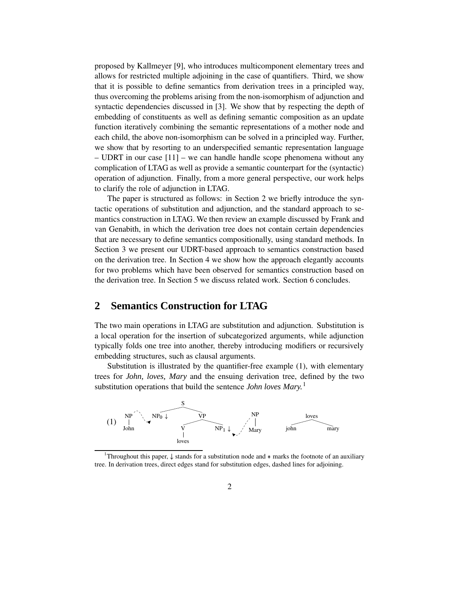proposed by Kallmeyer [9], who introduces multicomponent elementary trees and allows for restricted multiple adjoining in the case of quantifiers. Third, we show that it is possible to define semantics from derivation trees in a principled way, thus overcoming the problems arising from the non-isomorphism of adjunction and syntactic dependencies discussed in [3]. We show that by respecting the depth of embedding of constituents as well as defining semantic composition as an update function iteratively combining the semantic representations of a mother node and each child, the above non-isomorphism can be solved in a principled way. Further, we show that by resorting to an underspecified semantic representation language – UDRT in our case [11] – we can handle handle scope phenomena without any complication of LTAG as well as provide a semantic counterpart for the (syntactic) operation of adjunction. Finally, from a more general perspective, our work helps to clarify the role of adjunction in LTAG.

The paper is structured as follows: in Section 2 we briefly introduce the syntactic operations of substitution and adjunction, and the standard approach to semantics construction in LTAG. We then review an example discussed by Frank and van Genabith, in which the derivation tree does not contain certain dependencies that are necessary to define semantics compositionally, using standard methods. In Section 3 we present our UDRT-based approach to semantics construction based on the derivation tree. In Section 4 we show how the approach elegantly accounts for two problems which have been observed for semantics construction based on the derivation tree. In Section 5 we discuss related work. Section 6 concludes.

# **2 Semantics Construction for LTAG**

The two main operations in LTAG are substitution and adjunction. Substitution is a local operation for the insertion of subcategorized arguments, while adjunction typically folds one tree into another, thereby introducing modifiers or recursively embedding structures, such as clausal arguments.

Substitution is illustrated by the quantifier-free example (1), with elementary trees for *John, loves, Mary* and the ensuing derivation tree, defined by the two substitution operations that build the sentence *John loves Mary.* 1



<sup>&</sup>lt;sup>1</sup>Throughout this paper,  $\downarrow$  stands for a substitution node and  $*$  marks the footnote of an auxiliary tree. In derivation trees, direct edges stand for substitution edges, dashed lines for adjoining.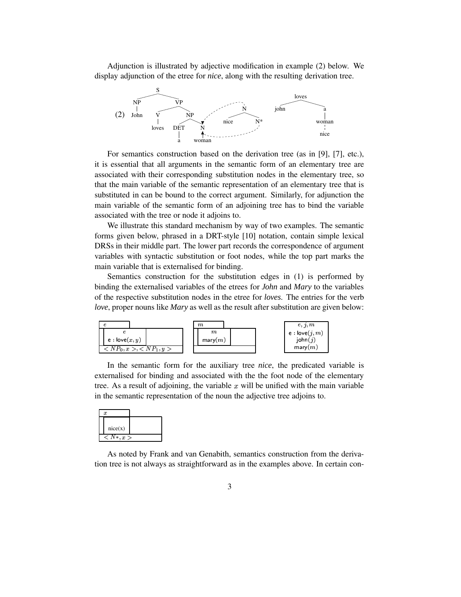Adjunction is illustrated by adjective modification in example (2) below. We display adjunction of the etree for *nice*, along with the resulting derivation tree.



For semantics construction based on the derivation tree (as in [9], [7], etc.), it is essential that all arguments in the semantic form of an elementary tree are associated with their corresponding substitution nodes in the elementary tree, so that the main variable of the semantic representation of an elementary tree that is substituted in can be bound to the correct argument. Similarly, for adjunction the main variable of the semantic form of an adjoining tree has to bind the variable associated with the tree or node it adjoins to.

We illustrate this standard mechanism by way of two examples. The semantic forms given below, phrased in a DRT-style [10] notation, contain simple lexical DRSs in their middle part. The lower part records the correspondence of argument variables with syntactic substitution or foot nodes, while the top part marks the main variable that is externalised for binding.

Semantics construction for the substitution edges in (1) is performed by binding the externalised variables of the etrees for *John* and *Mary* to the variables of the respective substitution nodes in the etree for *loves*. The entries for the verb *love*, proper nouns like *Mary* as well as the result after substitution are given below:



In the semantic form for the auxiliary tree *nice*, the predicated variable is externalised for binding and associated with the the foot node of the elementary tree. As a result of adjoining, the variable  $x$  will be unified with the main variable in the semantic representation of the noun the adjective tree adjoins to.

|              | $\boldsymbol{x}$ |  |
|--------------|------------------|--|
|              |                  |  |
|              | nice(x)          |  |
| $< N*\> x >$ |                  |  |

As noted by Frank and van Genabith, semantics construction from the derivation tree is not always as straightforward as in the examples above. In certain con-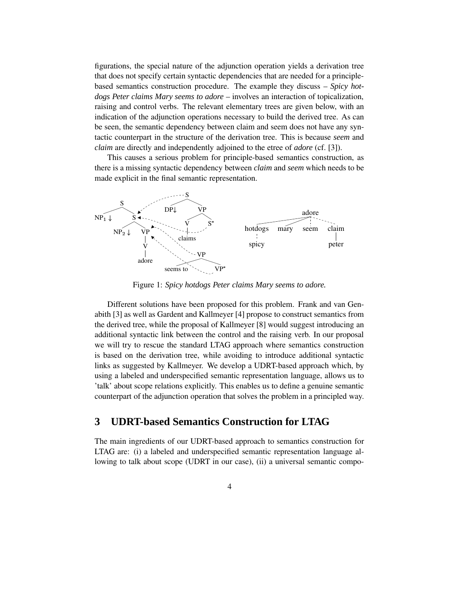figurations, the special nature of the adjunction operation yields a derivation tree that does not specify certain syntactic dependencies that are needed for a principlebased semantics construction procedure. The example they discuss – *Spicy hotdogs Peter claims Mary seems to adore* – involves an interaction of topicalization, raising and control verbs. The relevant elementary trees are given below, with an indication of the adjunction operations necessary to build the derived tree. As can be seen, the semantic dependency between claim and seem does not have any syntactic counterpart in the structure of the derivation tree. This is because *seem* and *claim* are directly and independently adjoined to the etree of *adore* (cf. [3]).

This causes a serious problem for principle-based semantics construction, as there is a missing syntactic dependency between *claim* and *seem* which needs to be made explicit in the final semantic representation.



Figure 1: *Spicy hotdogs Peter claims Mary seems to adore.*

Different solutions have been proposed for this problem. Frank and van Genabith [3] as well as Gardent and Kallmeyer [4] propose to construct semantics from the derived tree, while the proposal of Kallmeyer [8] would suggest introducing an additional syntactic link between the control and the raising verb. In our proposal we will try to rescue the standard LTAG approach where semantics construction is based on the derivation tree, while avoiding to introduce additional syntactic links as suggested by Kallmeyer. We develop a UDRT-based approach which, by using a labeled and underspecified semantic representation language, allows us to 'talk' about scope relations explicitly. This enables us to define a genuine semantic counterpart of the adjunction operation that solves the problem in a principled way.

# **3 UDRT-based Semantics Construction for LTAG**

The main ingredients of our UDRT-based approach to semantics construction for LTAG are: (i) a labeled and underspecified semantic representation language allowing to talk about scope (UDRT in our case), (ii) a universal semantic compo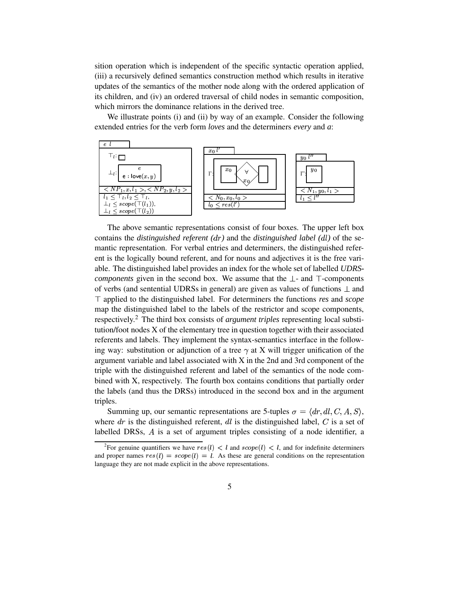sition operation which is independent of the specific syntactic operation applied, (iii) a recursively defined semantics construction method which results in iterative updates of the semantics of the mother node along with the ordered application of its children, and (iv) an ordered traversal of child nodes in semantic composition, which mirrors the dominance relations in the derived tree.

We illustrate points (i) and (ii) by way of an example. Consider the following extended entries for the verb form *loves* and the determiners *every* and *a*:



The above semantic representations consist of four boxes. The upper left box contains the *distinguished referent*  $(dr)$  and the *distinguished label*  $(dl)$  of the semantic representation. For verbal entries and determiners, the distinguished referent is the logically bound referent, and for nouns and adjectives it is the free variable. The distinguished label provides an index for the whole set of labelled *UDRScomponents* given in the second box. We assume that the  $\perp$ - and  $\top$ -components of verbs (and sentential UDRSs in general) are given as values of functions  $\perp$  and applied to the distinguished label. For determiners the functions *res* and *scope* map the distinguished label to the labels of the restrictor and scope components, respectively. <sup>2</sup> The third box consists of *argument triples* representing local substitution/foot nodes X of the elementary tree in question together with their associated referents and labels. They implement the syntax-semantics interface in the following way: substitution or adjunction of a tree  $\gamma$  at X will trigger unification of the argument variable and label associated with  $X$  in the 2nd and 3rd component of the triple with the distinguished referent and label of the semantics of the node combined with X, respectively. The fourth box contains conditions that partially order the labels (and thus the DRSs) introduced in the second box and in the argument triples.

Summing up, our semantic representations are 5-tuples  $\sigma = \langle dr, dl, C, A, S \rangle$ , where  $dr$  is the distinguished referent,  $dl$  is the distinguished label,  $C$  is a set of labelled DRSs,  $\vec{A}$  is a set of argument triples consisting of a node identifier, a

<sup>&</sup>lt;sup>2</sup>For genuine quantifiers we have  $res(l) < l$  and  $scope(l) < l$ , and for indefinite determiners and proper names  $res(l) = scope(l) = l$ . As these are general conditions on the representation language they are not made explicit in the above representations.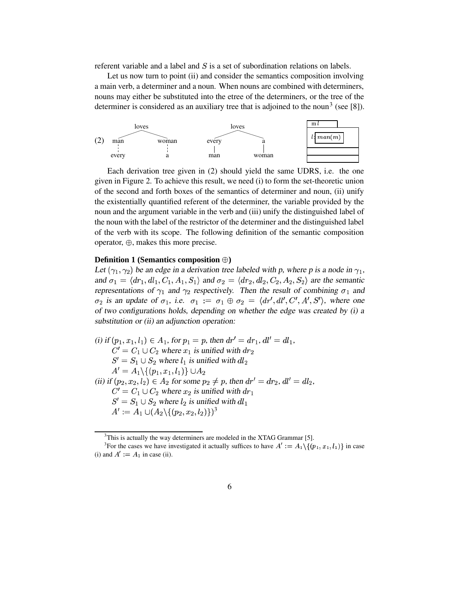referent variable and a label and  $S$  is a set of subordination relations on labels.

Let us now turn to point (ii) and consider the semantics composition involving a main verb, a determiner and a noun. When nouns are combined with determiners, nouns may either be substituted into the etree of the determiners, or the tree of the determiner is considered as an auxiliary tree that is adjoined to the noun<sup>3</sup> (see [8]).



Each derivation tree given in (2) should yield the same UDRS, i.e. the one given in Figure 2. To achieve this result, we need (i) to form the set-theoretic union of the second and forth boxes of the semantics of determiner and noun, (ii) unify the existentially quantified referent of the determiner, the variable provided by the noun and the argument variable in the verb and (iii) unify the distinguished label of the noun with the label of the restrictor of the determiner and the distinguished label of the verb with its scope. The following definition of the semantic composition operator,  $\oplus$ , makes this more precise.

### **Definition 1 (Semantics composition )**

Let  $(\gamma_1, \gamma_2)$  be an edge in a derivation tree labeled with p, where p is a node in  $\gamma_1$ , and  $\sigma_1 = \langle dr_1, dl_1, C_1, A_1, S_1 \rangle$  and  $\sigma_2 = \langle dr_2, dl_2, C_2, A_2, S_2 \rangle$  are the semantic representations of  $\gamma_1$  and  $\gamma_2$  respectively. Then the result of combining  $\sigma_1$  and  $\sigma_2$  is an update of  $\sigma_1$ , i.e.  $\sigma_1 := \sigma_1 \oplus \sigma_2 = \langle dr', dl', C', A', S' \rangle$ , where one of two configurations holds, depending on whether the edge was created by (i) <sup>a</sup> substitution or (ii) an adjunction operation:

(i) if 
$$
(p_1, x_1, l_1) \in A_1
$$
, for  $p_1 = p$ , then  $dr' = dr_1$ ,  $dl' = dl_1$ ,  
\n $C' = C_1 \cup C_2$  where  $x_1$  is unified with  $dr_2$   
\n $S' = S_1 \cup S_2$  where  $l_1$  is unified with  $dl_2$   
\n $A' = A_1 \setminus \{(p_1, x_1, l_1)\} \cup A_2$   
\n(ii) if  $(p_2, x_2, l_2) \in A_2$  for some  $p_2 \neq p$ , then  $dr' = dr_2$ ,  $dl' = dl_2$ ,  
\n $C' = C_1 \cup C_2$  where  $x_2$  is unified with  $dr_1$   
\n $S' = S_1 \cup S_2$  where  $l_2$  is unified with  $dl_1$   
\n $A' := A_1 \cup (A_2 \setminus \{(p_2, x_2, l_2)\})^3$ 

 $3$ This is actually the way determiners are modeled in the XTAG Grammar [5].

<sup>&</sup>lt;sup>3</sup>For the cases we have investigated it actually suffices to have  $A' := A_1 \setminus \{(p_1, x_1, l_1)\}\$ in case (i) and  $A' := A_1$  in case (ii).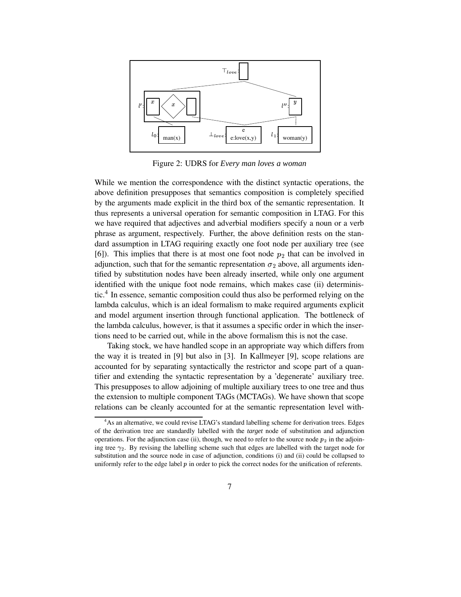

Figure 2: UDRS for *Every man loves a woman*

While we mention the correspondence with the distinct syntactic operations, the above definition presupposes that semantics composition is completely specified by the arguments made explicit in the third box of the semantic representation. It thus represents a universal operation for semantic composition in LTAG. For this we have required that adjectives and adverbial modifiers specify a noun or a verb phrase as argument, respectively. Further, the above definition rests on the standard assumption in LTAG requiring exactly one foot node per auxiliary tree (see [6]). This implies that there is at most one foot node  $p_2$  that can be involved in adjunction, such that for the semantic representation  $\sigma_2$  above, all arguments identified by substitution nodes have been already inserted, while only one argument identified with the unique foot node remains, which makes case (ii) deterministic.<sup>4</sup> In essence, semantic composition could thus also be performed relying on the lambda calculus, which is an ideal formalism to make required arguments explicit and model argument insertion through functional application. The bottleneck of the lambda calculus, however, is that it assumes a specific order in which the insertions need to be carried out, while in the above formalism this is not the case.

Taking stock, we have handled scope in an appropriate way which differs from the way it is treated in [9] but also in [3]. In Kallmeyer [9], scope relations are accounted for by separating syntactically the restrictor and scope part of a quantifier and extending the syntactic representation by a 'degenerate' auxiliary tree. This presupposes to allow adjoining of multiple auxiliary trees to one tree and thus the extension to multiple component TAGs (MCTAGs). We have shown that scope relations can be cleanly accounted for at the semantic representation level with-

<sup>&</sup>lt;sup>4</sup>As an alternative, we could revise LTAG's standard labelling scheme for derivation trees. Edges of the derivation tree are standardly labelled with the *target* node of substitution and adjunction operations. For the adjunction case (ii), though, we need to refer to the source node  $p_2$  in the adjoining tree  $\gamma_2$ . By revising the labelling scheme such that edges are labelled with the target node for substitution and the source node in case of adjunction, conditions (i) and (ii) could be collapsed to uniformly refer to the edge label  $p$  in order to pick the correct nodes for the unification of referents.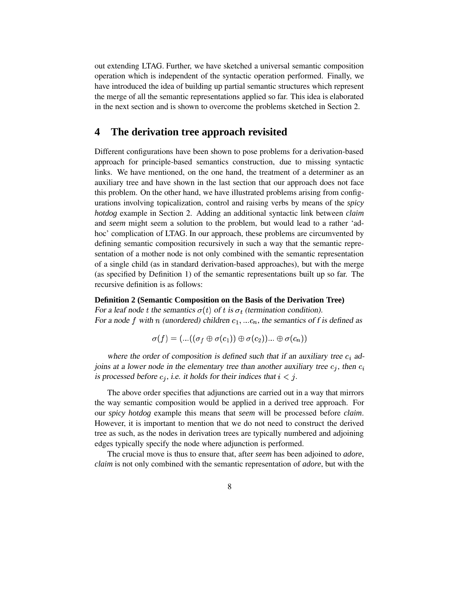out extending LTAG. Further, we have sketched a universal semantic composition operation which is independent of the syntactic operation performed. Finally, we have introduced the idea of building up partial semantic structures which represent the merge of all the semantic representations applied so far. This idea is elaborated in the next section and is shown to overcome the problems sketched in Section 2.

# **4 The derivation tree approach revisited**

Different configurations have been shown to pose problems for a derivation-based approach for principle-based semantics construction, due to missing syntactic links. We have mentioned, on the one hand, the treatment of a determiner as an auxiliary tree and have shown in the last section that our approach does not face this problem. On the other hand, we have illustrated problems arising from configurations involving topicalization, control and raising verbs by means of the *spicy hotdog* example in Section 2. Adding an additional syntactic link between *claim* and *seem* might seem a solution to the problem, but would lead to a rather 'adhoc' complication of LTAG. In our approach, these problems are circumvented by defining semantic composition recursively in such a way that the semantic representation of a mother node is not only combined with the semantic representation of a single child (as in standard derivation-based approaches), but with the merge (as specified by Definition 1) of the semantic representations built up so far. The recursive definition is as follows:

#### **Definition 2 (Semantic Composition on the Basis of the Derivation Tree)**

For a leaf node t the semantics  $\sigma(t)$  of t is  $\sigma_t$  (termination condition). For a node f with n (unordered) children  $c_1, \ldots c_n$ , the semantics of f is defined as

$$
\sigma(f)=(...((\sigma_f \oplus \sigma(c_1)) \oplus \sigma(c_2))...\oplus \sigma(c_n))
$$

where the order of composition is defined such that if an auxiliary tree  $c_i$  adjoins at a lower node in the elementary tree than another auxiliary tree  $c_j$ , then  $c_i$ is processed before  $c_1$ , i.e. it holds for their indices that  $i < j$ .

The above order specifies that adjunctions are carried out in a way that mirrors the way semantic composition would be applied in a derived tree approach. For our *spicy hotdog* example this means that *seem* will be processed before *claim*. However, it is important to mention that we do not need to construct the derived tree as such, as the nodes in derivation trees are typically numbered and adjoining edges typically specify the node where adjunction is performed.

The crucial move is thus to ensure that, after *seem* has been adjoined to *adore*, *claim* is not only combined with the semantic representation of *adore*, but with the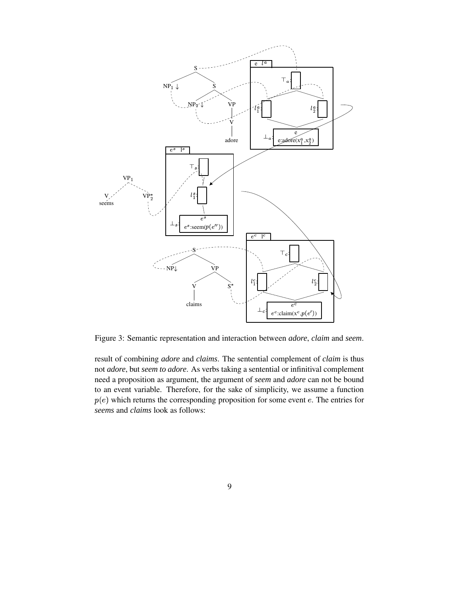

Figure 3: Semantic representation and interaction between *adore*, *claim* and *seem*.

result of combining *adore* and *claims*. The sentential complement of *claim* is thus not *adore*, but *seem to adore*. As verbs taking a sentential or infinitival complement need a proposition as argument, the argument of *seem* and *adore* can not be bound to an event variable. Therefore, for the sake of simplicity, we assume a function  $p(e)$  which returns the corresponding proposition for some event e. The entries for *seems* and *claims* look as follows: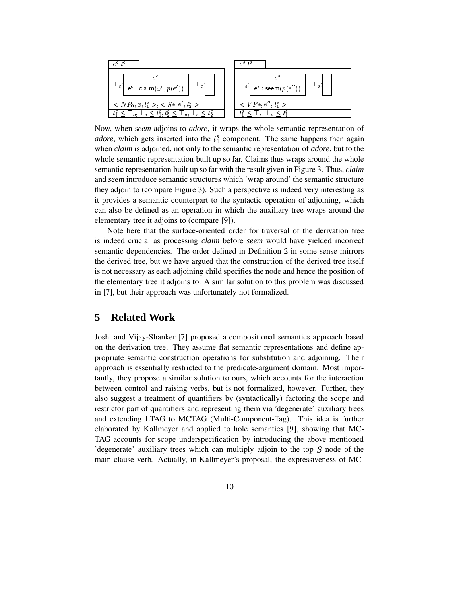

Now, when *seem* adjoins to *adore*, it wraps the whole semantic representation of *adore*, which gets inserted into the  $l_1^s$  component. The same happens then again when *claim* is adjoined, not only to the semantic representation of *adore*, but to the whole semantic representation built up so far. Claims thus wraps around the whole semantic representation built up so far with the result given in Figure 3. Thus, *claim* and *seem* introduce semantic structures which 'wrap around' the semantic structure they adjoin to (compare Figure 3). Such a perspective is indeed very interesting as it provides a semantic counterpart to the syntactic operation of adjoining, which can also be defined as an operation in which the auxiliary tree wraps around the elementary tree it adjoins to (compare [9]).

Note here that the surface-oriented order for traversal of the derivation tree is indeed crucial as processing *claim* before *seem* would have yielded incorrect semantic dependencies. The order defined in Definition 2 in some sense mirrors the derived tree, but we have argued that the construction of the derived tree itself is not necessary as each adjoining child specifies the node and hence the position of the elementary tree it adjoins to. A similar solution to this problem was discussed in [7], but their approach was unfortunately not formalized.

# **5 Related Work**

Joshi and Vijay-Shanker [7] proposed a compositional semantics approach based on the derivation tree. They assume flat semantic representations and define appropriate semantic construction operations for substitution and adjoining. Their approach is essentially restricted to the predicate-argument domain. Most importantly, they propose a similar solution to ours, which accounts for the interaction between control and raising verbs, but is not formalized, however. Further, they also suggest a treatment of quantifiers by (syntactically) factoring the scope and restrictor part of quantifiers and representing them via 'degenerate' auxiliary trees and extending LTAG to MCTAG (Multi-Component-Tag). This idea is further elaborated by Kallmeyer and applied to hole semantics [9], showing that MC-TAG accounts for scope underspecification by introducing the above mentioned 'degenerate' auxiliary trees which can multiply adjoin to the top  $S$  node of the main clause verb. Actually, in Kallmeyer's proposal, the expressiveness of MC-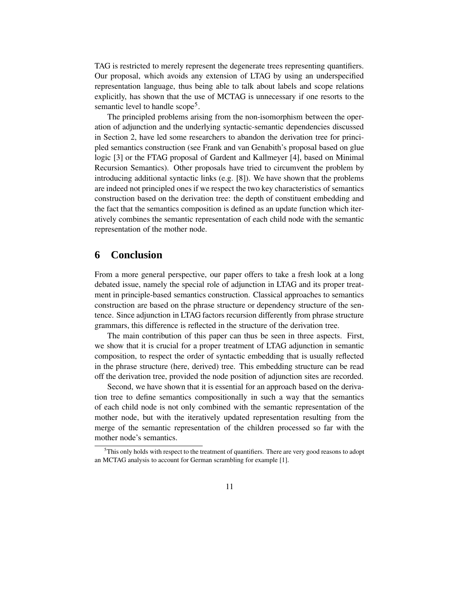TAG is restricted to merely represent the degenerate trees representing quantifiers. Our proposal, which avoids any extension of LTAG by using an underspecified representation language, thus being able to talk about labels and scope relations explicitly, has shown that the use of MCTAG is unnecessary if one resorts to the semantic level to handle scope<sup>5</sup>.

The principled problems arising from the non-isomorphism between the operation of adjunction and the underlying syntactic-semantic dependencies discussed in Section 2, have led some researchers to abandon the derivation tree for principled semantics construction (see Frank and van Genabith's proposal based on glue logic [3] or the FTAG proposal of Gardent and Kallmeyer [4], based on Minimal Recursion Semantics). Other proposals have tried to circumvent the problem by introducing additional syntactic links (e.g. [8]). We have shown that the problems are indeed not principled ones if we respect the two key characteristics of semantics construction based on the derivation tree: the depth of constituent embedding and the fact that the semantics composition is defined as an update function which iteratively combines the semantic representation of each child node with the semantic representation of the mother node.

# **6 Conclusion**

From a more general perspective, our paper offers to take a fresh look at a long debated issue, namely the special role of adjunction in LTAG and its proper treatment in principle-based semantics construction. Classical approaches to semantics construction are based on the phrase structure or dependency structure of the sentence. Since adjunction in LTAG factors recursion differently from phrase structure grammars, this difference is reflected in the structure of the derivation tree.

The main contribution of this paper can thus be seen in three aspects. First, we show that it is crucial for a proper treatment of LTAG adjunction in semantic composition, to respect the order of syntactic embedding that is usually reflected in the phrase structure (here, derived) tree. This embedding structure can be read off the derivation tree, provided the node position of adjunction sites are recorded.

Second, we have shown that it is essential for an approach based on the derivation tree to define semantics compositionally in such a way that the semantics of each child node is not only combined with the semantic representation of the mother node, but with the iteratively updated representation resulting from the merge of the semantic representation of the children processed so far with the mother node's semantics.

 $<sup>5</sup>$ This only holds with respect to the treatment of quantifiers. There are very good reasons to adopt</sup> an MCTAG analysis to account for German scrambling for example [1].